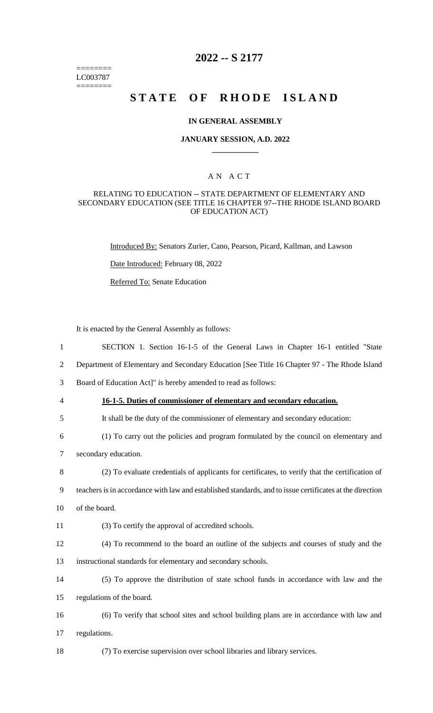======== LC003787 ========

# **2022 -- S 2177**

# **STATE OF RHODE ISLAND**

#### **IN GENERAL ASSEMBLY**

## **JANUARY SESSION, A.D. 2022 \_\_\_\_\_\_\_\_\_\_\_\_**

## A N A C T

## RELATING TO EDUCATION -- STATE DEPARTMENT OF ELEMENTARY AND SECONDARY EDUCATION (SEE TITLE 16 CHAPTER 97--THE RHODE ISLAND BOARD OF EDUCATION ACT)

Introduced By: Senators Zurier, Cano, Pearson, Picard, Kallman, and Lawson

Date Introduced: February 08, 2022

Referred To: Senate Education

It is enacted by the General Assembly as follows:

| $\mathbf{1}$ | SECTION 1. Section 16-1-5 of the General Laws in Chapter 16-1 entitled "State                            |
|--------------|----------------------------------------------------------------------------------------------------------|
| 2            | Department of Elementary and Secondary Education [See Title 16 Chapter 97 - The Rhode Island             |
| 3            | Board of Education Act]" is hereby amended to read as follows:                                           |
| 4            | 16-1-5. Duties of commissioner of elementary and secondary education.                                    |
| 5            | It shall be the duty of the commissioner of elementary and secondary education:                          |
| 6            | (1) To carry out the policies and program formulated by the council on elementary and                    |
| 7            | secondary education.                                                                                     |
| 8            | (2) To evaluate credentials of applicants for certificates, to verify that the certification of          |
| 9            | teachers is in accordance with law and established standards, and to issue certificates at the direction |
| 10           | of the board.                                                                                            |
| 11           | (3) To certify the approval of accredited schools.                                                       |
| 12           | (4) To recommend to the board an outline of the subjects and courses of study and the                    |
| 13           | instructional standards for elementary and secondary schools.                                            |
| 14           | (5) To approve the distribution of state school funds in accordance with law and the                     |
| 15           | regulations of the board.                                                                                |
| 16           | (6) To verify that school sites and school building plans are in accordance with law and                 |
| 17           | regulations.                                                                                             |
| 18           | (7) To exercise supervision over school libraries and library services.                                  |
|              |                                                                                                          |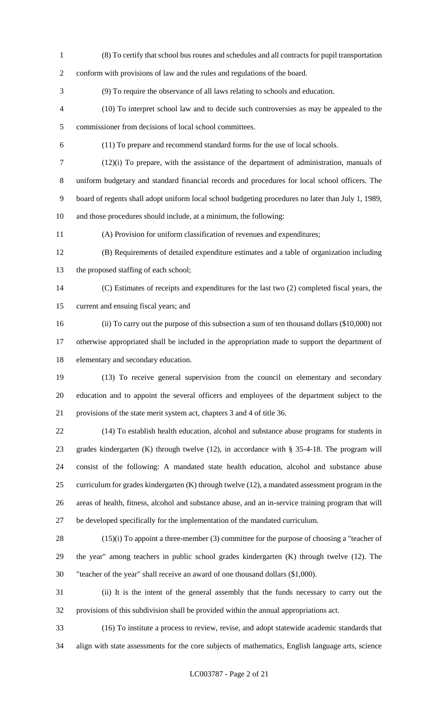(8) To certify that school bus routes and schedules and all contracts for pupil transportation conform with provisions of law and the rules and regulations of the board. (9) To require the observance of all laws relating to schools and education. (10) To interpret school law and to decide such controversies as may be appealed to the commissioner from decisions of local school committees. (11) To prepare and recommend standard forms for the use of local schools. (12)(i) To prepare, with the assistance of the department of administration, manuals of uniform budgetary and standard financial records and procedures for local school officers. The board of regents shall adopt uniform local school budgeting procedures no later than July 1, 1989, and those procedures should include, at a minimum, the following: (A) Provision for uniform classification of revenues and expenditures; (B) Requirements of detailed expenditure estimates and a table of organization including the proposed staffing of each school; (C) Estimates of receipts and expenditures for the last two (2) completed fiscal years, the current and ensuing fiscal years; and (ii) To carry out the purpose of this subsection a sum of ten thousand dollars (\$10,000) not otherwise appropriated shall be included in the appropriation made to support the department of

elementary and secondary education.

 (13) To receive general supervision from the council on elementary and secondary education and to appoint the several officers and employees of the department subject to the provisions of the state merit system act, chapters 3 and 4 of title 36.

 (14) To establish health education, alcohol and substance abuse programs for students in grades kindergarten (K) through twelve (12), in accordance with § 35-4-18. The program will consist of the following: A mandated state health education, alcohol and substance abuse curriculum for grades kindergarten (K) through twelve (12), a mandated assessment program in the areas of health, fitness, alcohol and substance abuse, and an in-service training program that will be developed specifically for the implementation of the mandated curriculum.

 (15)(i) To appoint a three-member (3) committee for the purpose of choosing a "teacher of the year" among teachers in public school grades kindergarten (K) through twelve (12). The "teacher of the year" shall receive an award of one thousand dollars (\$1,000).

 (ii) It is the intent of the general assembly that the funds necessary to carry out the provisions of this subdivision shall be provided within the annual appropriations act.

 (16) To institute a process to review, revise, and adopt statewide academic standards that align with state assessments for the core subjects of mathematics, English language arts, science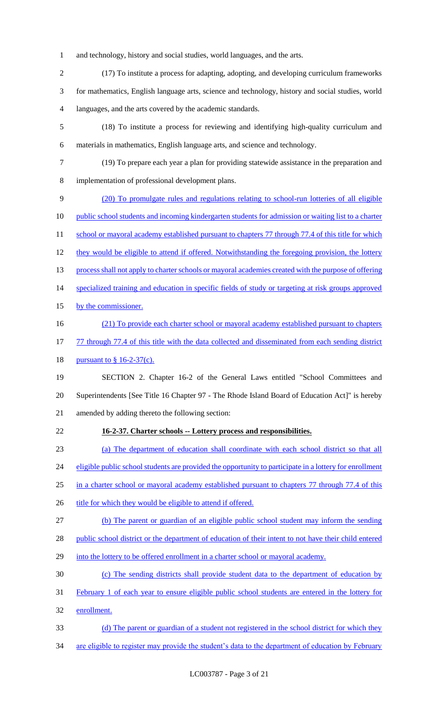- 1 and technology, history and social studies, world languages, and the arts.
- 2 (17) To institute a process for adapting, adopting, and developing curriculum frameworks 3 for mathematics, English language arts, science and technology, history and social studies, world 4 languages, and the arts covered by the academic standards.
- 5 (18) To institute a process for reviewing and identifying high-quality curriculum and 6 materials in mathematics, English language arts, and science and technology.
- 7 (19) To prepare each year a plan for providing statewide assistance in the preparation and 8 implementation of professional development plans.
- 9 (20) To promulgate rules and regulations relating to school-run lotteries of all eligible 10 public school students and incoming kindergarten students for admission or waiting list to a charter 11 school or mayoral academy established pursuant to chapters 77 through 77.4 of this title for which 12 they would be eligible to attend if offered. Notwithstanding the foregoing provision, the lottery 13 process shall not apply to charter schools or mayoral academies created with the purpose of offering 14 specialized training and education in specific fields of study or targeting at risk groups approved 15 by the commissioner. 16 (21) To provide each charter school or mayoral academy established pursuant to chapters 17 77 through 77.4 of this title with the data collected and disseminated from each sending district 18 <u>pursuant to § 16-2-37(c).</u> 19 SECTION 2. Chapter 16-2 of the General Laws entitled "School Committees and 20 Superintendents [See Title 16 Chapter 97 - The Rhode Island Board of Education Act]" is hereby 21 amended by adding thereto the following section:
- 22 **16-2-37. Charter schools -- Lottery process and responsibilities.**
- 23 (a) The department of education shall coordinate with each school district so that all

24 eligible public school students are provided the opportunity to participate in a lottery for enrollment

- 25 in a charter school or mayoral academy established pursuant to chapters 77 through 77.4 of this
- 26 title for which they would be eligible to attend if offered.
- 27 (b) The parent or guardian of an eligible public school student may inform the sending
- 28 public school district or the department of education of their intent to not have their child entered
- 29 into the lottery to be offered enrollment in a charter school or mayoral academy.
- 30 (c) The sending districts shall provide student data to the department of education by
- 31 February 1 of each year to ensure eligible public school students are entered in the lottery for
- 32 enrollment.
- 33 (d) The parent or guardian of a student not registered in the school district for which they
- 34 are eligible to register may provide the student's data to the department of education by February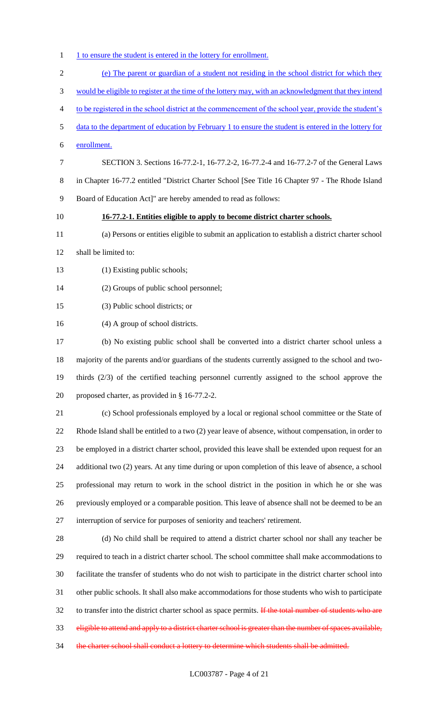- 1 1 1 1 to ensure the student is entered in the lottery for enrollment.
- (e) The parent or guardian of a student not residing in the school district for which they would be eligible to register at the time of the lottery may, with an acknowledgment that they intend to be registered in the school district at the commencement of the school year, provide the student's data to the department of education by February 1 to ensure the student is entered in the lottery for enrollment. SECTION 3. Sections 16-77.2-1, 16-77.2-2, 16-77.2-4 and 16-77.2-7 of the General Laws in Chapter 16-77.2 entitled "District Charter School [See Title 16 Chapter 97 - The Rhode Island Board of Education Act]" are hereby amended to read as follows: **16-77.2-1. Entities eligible to apply to become district charter schools.** (a) Persons or entities eligible to submit an application to establish a district charter school shall be limited to: 13 (1) Existing public schools; (2) Groups of public school personnel; (3) Public school districts; or (4) A group of school districts. (b) No existing public school shall be converted into a district charter school unless a majority of the parents and/or guardians of the students currently assigned to the school and two- thirds (2/3) of the certified teaching personnel currently assigned to the school approve the proposed charter, as provided in § 16-77.2-2. (c) School professionals employed by a local or regional school committee or the State of Rhode Island shall be entitled to a two (2) year leave of absence, without compensation, in order to be employed in a district charter school, provided this leave shall be extended upon request for an additional two (2) years. At any time during or upon completion of this leave of absence, a school professional may return to work in the school district in the position in which he or she was previously employed or a comparable position. This leave of absence shall not be deemed to be an interruption of service for purposes of seniority and teachers' retirement. (d) No child shall be required to attend a district charter school nor shall any teacher be required to teach in a district charter school. The school committee shall make accommodations to facilitate the transfer of students who do not wish to participate in the district charter school into other public schools. It shall also make accommodations for those students who wish to participate 32 to transfer into the district charter school as space permits. If the total number of students who are eligible to attend and apply to a district charter school is greater than the number of spaces available, 34 the charter school shall conduct a lottery to determine which students shall be admitted.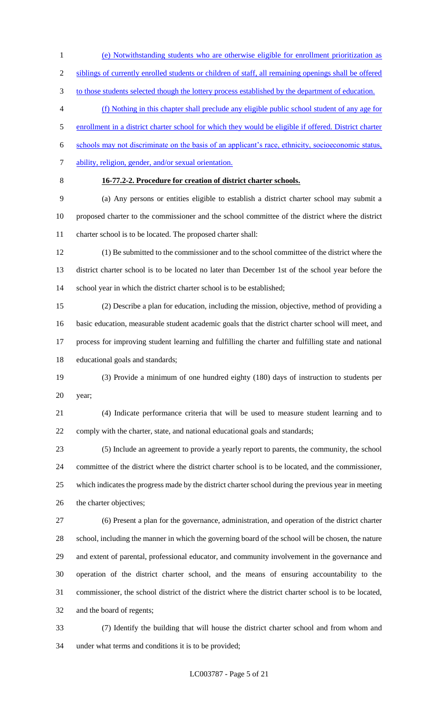(e) Notwithstanding students who are otherwise eligible for enrollment prioritization as siblings of currently enrolled students or children of staff, all remaining openings shall be offered

3 to those students selected though the lottery process established by the department of education.

(f) Nothing in this chapter shall preclude any eligible public school student of any age for

enrollment in a district charter school for which they would be eligible if offered. District charter

schools may not discriminate on the basis of an applicant's race, ethnicity, socioeconomic status,

- 7 ability, religion, gender, and/or sexual orientation.
- 

## **16-77.2-2. Procedure for creation of district charter schools.**

 (a) Any persons or entities eligible to establish a district charter school may submit a proposed charter to the commissioner and the school committee of the district where the district charter school is to be located. The proposed charter shall:

 (1) Be submitted to the commissioner and to the school committee of the district where the district charter school is to be located no later than December 1st of the school year before the 14 school year in which the district charter school is to be established;

 (2) Describe a plan for education, including the mission, objective, method of providing a basic education, measurable student academic goals that the district charter school will meet, and process for improving student learning and fulfilling the charter and fulfilling state and national educational goals and standards;

 (3) Provide a minimum of one hundred eighty (180) days of instruction to students per year;

 (4) Indicate performance criteria that will be used to measure student learning and to comply with the charter, state, and national educational goals and standards;

 (5) Include an agreement to provide a yearly report to parents, the community, the school committee of the district where the district charter school is to be located, and the commissioner, which indicates the progress made by the district charter school during the previous year in meeting the charter objectives;

 (6) Present a plan for the governance, administration, and operation of the district charter school, including the manner in which the governing board of the school will be chosen, the nature and extent of parental, professional educator, and community involvement in the governance and operation of the district charter school, and the means of ensuring accountability to the commissioner, the school district of the district where the district charter school is to be located, and the board of regents;

 (7) Identify the building that will house the district charter school and from whom and under what terms and conditions it is to be provided;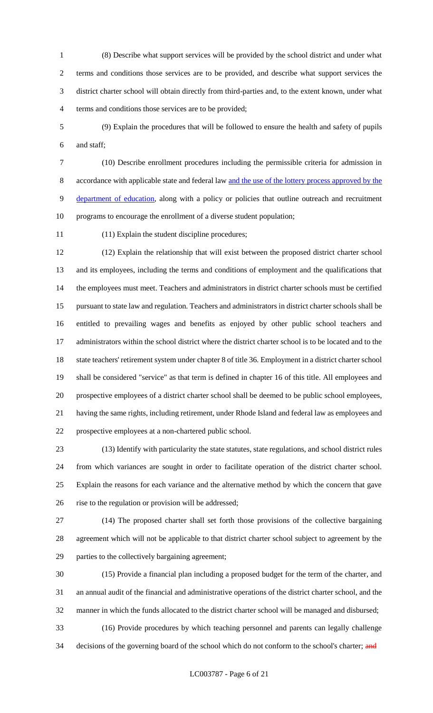(8) Describe what support services will be provided by the school district and under what terms and conditions those services are to be provided, and describe what support services the district charter school will obtain directly from third-parties and, to the extent known, under what terms and conditions those services are to be provided;

 (9) Explain the procedures that will be followed to ensure the health and safety of pupils and staff;

 (10) Describe enrollment procedures including the permissible criteria for admission in accordance with applicable state and federal law and the use of the lottery process approved by the 9 department of education, along with a policy or policies that outline outreach and recruitment programs to encourage the enrollment of a diverse student population;

(11) Explain the student discipline procedures;

 (12) Explain the relationship that will exist between the proposed district charter school and its employees, including the terms and conditions of employment and the qualifications that the employees must meet. Teachers and administrators in district charter schools must be certified pursuant to state law and regulation. Teachers and administrators in district charter schools shall be entitled to prevailing wages and benefits as enjoyed by other public school teachers and administrators within the school district where the district charter school is to be located and to the state teachers' retirement system under chapter 8 of title 36. Employment in a district charter school shall be considered "service" as that term is defined in chapter 16 of this title. All employees and prospective employees of a district charter school shall be deemed to be public school employees, having the same rights, including retirement, under Rhode Island and federal law as employees and prospective employees at a non-chartered public school.

 (13) Identify with particularity the state statutes, state regulations, and school district rules from which variances are sought in order to facilitate operation of the district charter school. Explain the reasons for each variance and the alternative method by which the concern that gave rise to the regulation or provision will be addressed;

 (14) The proposed charter shall set forth those provisions of the collective bargaining agreement which will not be applicable to that district charter school subject to agreement by the parties to the collectively bargaining agreement;

 (15) Provide a financial plan including a proposed budget for the term of the charter, and an annual audit of the financial and administrative operations of the district charter school, and the manner in which the funds allocated to the district charter school will be managed and disbursed; (16) Provide procedures by which teaching personnel and parents can legally challenge

34 decisions of the governing board of the school which do not conform to the school's charter; and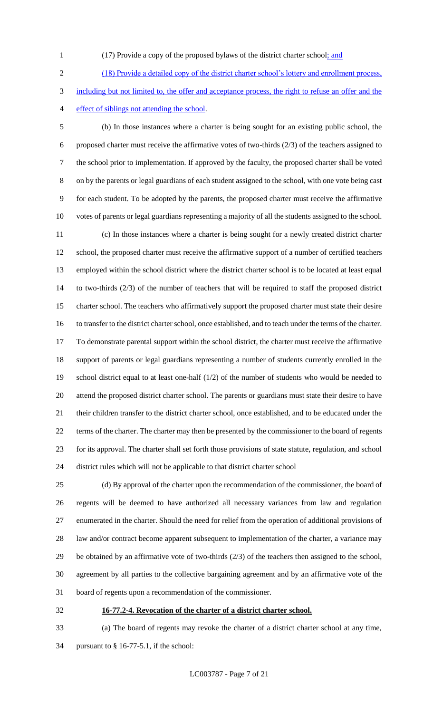- 
- 1 (17) Provide a copy of the proposed bylaws of the district charter school; and

 (18) Provide a detailed copy of the district charter school's lottery and enrollment process, including but not limited to, the offer and acceptance process, the right to refuse an offer and the effect of siblings not attending the school.

 (b) In those instances where a charter is being sought for an existing public school, the proposed charter must receive the affirmative votes of two-thirds (2/3) of the teachers assigned to the school prior to implementation. If approved by the faculty, the proposed charter shall be voted on by the parents or legal guardians of each student assigned to the school, with one vote being cast for each student. To be adopted by the parents, the proposed charter must receive the affirmative votes of parents or legal guardians representing a majority of all the students assigned to the school. (c) In those instances where a charter is being sought for a newly created district charter school, the proposed charter must receive the affirmative support of a number of certified teachers employed within the school district where the district charter school is to be located at least equal to two-thirds (2/3) of the number of teachers that will be required to staff the proposed district charter school. The teachers who affirmatively support the proposed charter must state their desire to transfer to the district charter school, once established, and to teach under the terms of the charter. To demonstrate parental support within the school district, the charter must receive the affirmative support of parents or legal guardians representing a number of students currently enrolled in the school district equal to at least one-half (1/2) of the number of students who would be needed to attend the proposed district charter school. The parents or guardians must state their desire to have their children transfer to the district charter school, once established, and to be educated under the terms of the charter. The charter may then be presented by the commissioner to the board of regents for its approval. The charter shall set forth those provisions of state statute, regulation, and school district rules which will not be applicable to that district charter school

 (d) By approval of the charter upon the recommendation of the commissioner, the board of regents will be deemed to have authorized all necessary variances from law and regulation enumerated in the charter. Should the need for relief from the operation of additional provisions of 28 law and/or contract become apparent subsequent to implementation of the charter, a variance may be obtained by an affirmative vote of two-thirds (2/3) of the teachers then assigned to the school, agreement by all parties to the collective bargaining agreement and by an affirmative vote of the board of regents upon a recommendation of the commissioner.

**16-77.2-4. Revocation of the charter of a district charter school.**

 (a) The board of regents may revoke the charter of a district charter school at any time, pursuant to § 16-77-5.1, if the school: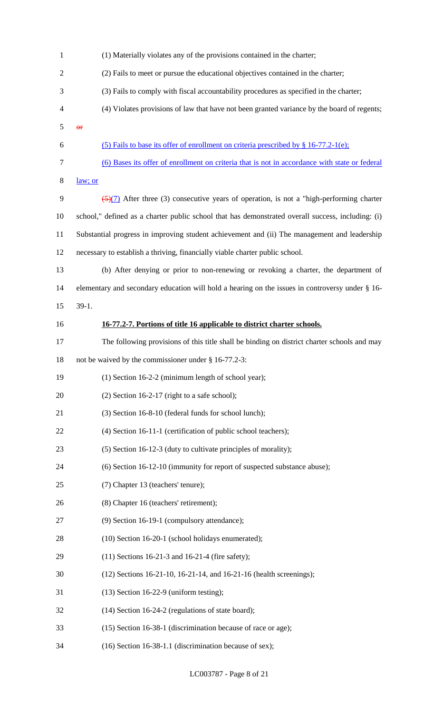| $\mathbf{1}$   | (1) Materially violates any of the provisions contained in the charter;                                |
|----------------|--------------------------------------------------------------------------------------------------------|
| $\overline{2}$ | (2) Fails to meet or pursue the educational objectives contained in the charter;                       |
| 3              | (3) Fails to comply with fiscal accountability procedures as specified in the charter;                 |
| $\overline{4}$ | (4) Violates provisions of law that have not been granted variance by the board of regents;            |
| 5              | $\Theta$ <b>F</b>                                                                                      |
| 6              | (5) Fails to base its offer of enrollment on criteria prescribed by $\S$ 16-77.2-1(e);                 |
| $\tau$         | (6) Bases its offer of enrollment on criteria that is not in accordance with state or federal          |
| $8\,$          | law; or                                                                                                |
| 9              | $\frac{5}{2}$ (5)(7) After three (3) consecutive years of operation, is not a "high-performing charter |
| 10             | school," defined as a charter public school that has demonstrated overall success, including: (i)      |
| 11             | Substantial progress in improving student achievement and (ii) The management and leadership           |
| 12             | necessary to establish a thriving, financially viable charter public school.                           |
| 13             | (b) After denying or prior to non-renewing or revoking a charter, the department of                    |
| 14             | elementary and secondary education will hold a hearing on the issues in controversy under § 16-        |
| 15             | $39-1.$                                                                                                |
| 16             | 16-77.2-7. Portions of title 16 applicable to district charter schools.                                |
| 17             | The following provisions of this title shall be binding on district charter schools and may            |
| 18             | not be waived by the commissioner under § 16-77.2-3:                                                   |
| 19             | (1) Section 16-2-2 (minimum length of school year);                                                    |
| 20             | $(2)$ Section 16-2-17 (right to a safe school);                                                        |
| 21             | (3) Section 16-8-10 (federal funds for school lunch);                                                  |
| 22             | (4) Section 16-11-1 (certification of public school teachers);                                         |
| 23             | (5) Section 16-12-3 (duty to cultivate principles of morality);                                        |
| 24             | (6) Section 16-12-10 (immunity for report of suspected substance abuse);                               |
| 25             | (7) Chapter 13 (teachers' tenure);                                                                     |
| 26             | (8) Chapter 16 (teachers' retirement);                                                                 |
| 27             | (9) Section 16-19-1 (compulsory attendance);                                                           |
| 28             | (10) Section 16-20-1 (school holidays enumerated);                                                     |
| 29             | $(11)$ Sections 16-21-3 and 16-21-4 (fire safety);                                                     |
| 30             | (12) Sections 16-21-10, 16-21-14, and 16-21-16 (health screenings);                                    |
| 31             | $(13)$ Section 16-22-9 (uniform testing);                                                              |
| 32             | (14) Section 16-24-2 (regulations of state board);                                                     |
| 33             | (15) Section 16-38-1 (discrimination because of race or age);                                          |
| 34             | (16) Section 16-38-1.1 (discrimination because of sex);                                                |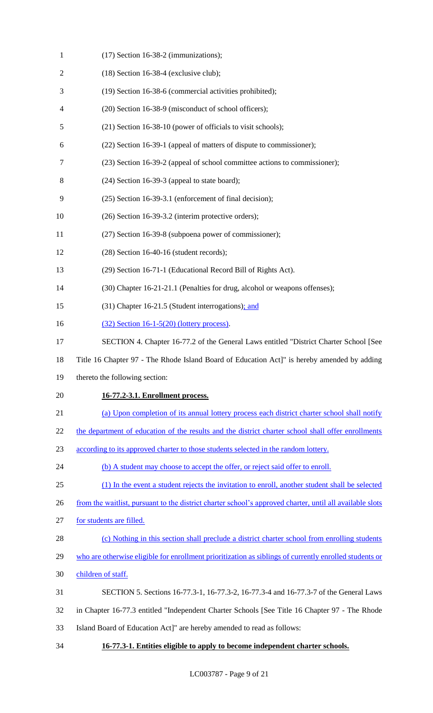| $\mathbf{1}$   | (17) Section 16-38-2 (immunizations);                                                                    |
|----------------|----------------------------------------------------------------------------------------------------------|
| $\overline{2}$ | $(18)$ Section 16-38-4 (exclusive club);                                                                 |
| 3              | (19) Section 16-38-6 (commercial activities prohibited);                                                 |
| 4              | (20) Section 16-38-9 (misconduct of school officers);                                                    |
| 5              | (21) Section 16-38-10 (power of officials to visit schools);                                             |
| 6              | (22) Section 16-39-1 (appeal of matters of dispute to commissioner);                                     |
| 7              | (23) Section 16-39-2 (appeal of school committee actions to commissioner);                               |
| 8              | $(24)$ Section 16-39-3 (appeal to state board);                                                          |
| 9              | (25) Section 16-39-3.1 (enforcement of final decision);                                                  |
| 10             | (26) Section 16-39-3.2 (interim protective orders);                                                      |
| 11             | (27) Section 16-39-8 (subpoena power of commissioner);                                                   |
| 12             | $(28)$ Section 16-40-16 (student records);                                                               |
| 13             | (29) Section 16-71-1 (Educational Record Bill of Rights Act).                                            |
| 14             | (30) Chapter 16-21-21.1 (Penalties for drug, alcohol or weapons offenses);                               |
| 15             | (31) Chapter 16-21.5 (Student interrogations); and                                                       |
| 16             | $(32)$ Section 16-1-5(20) (lottery process).                                                             |
| 17             | SECTION 4. Chapter 16-77.2 of the General Laws entitled "District Charter School [See                    |
| 18             | Title 16 Chapter 97 - The Rhode Island Board of Education Act]" is hereby amended by adding              |
| 19             | thereto the following section:                                                                           |
| 20             | 16-77.2-3.1. Enrollment process.                                                                         |
| 21             | (a) Upon completion of its annual lottery process each district charter school shall notify              |
| 22             | the department of education of the results and the district charter school shall offer enrollments       |
| 23             | according to its approved charter to those students selected in the random lottery.                      |
| 24             | (b) A student may choose to accept the offer, or reject said offer to enroll.                            |
| 25             | (1) In the event a student rejects the invitation to enroll, another student shall be selected           |
| 26             | from the waitlist, pursuant to the district charter school's approved charter, until all available slots |
| 27             | for students are filled.                                                                                 |
| 28             | (c) Nothing in this section shall preclude a district charter school from enrolling students             |
| 29             | who are otherwise eligible for enrollment prioritization as siblings of currently enrolled students or   |
| 30             | children of staff.                                                                                       |
| 31             | SECTION 5. Sections 16-77.3-1, 16-77.3-2, 16-77.3-4 and 16-77.3-7 of the General Laws                    |
| 32             | in Chapter 16-77.3 entitled "Independent Charter Schools [See Title 16 Chapter 97 - The Rhode            |
| 33             | Island Board of Education Act]" are hereby amended to read as follows:                                   |
| 34             | 16-77.3-1. Entities eligible to apply to become independent charter schools.                             |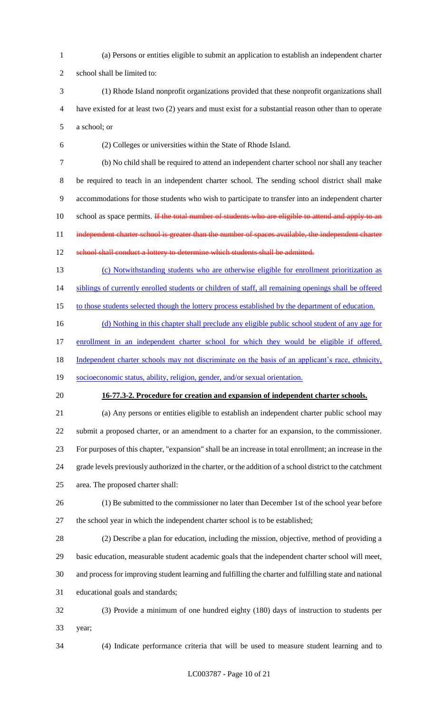(a) Persons or entities eligible to submit an application to establish an independent charter

school shall be limited to:

 (1) Rhode Island nonprofit organizations provided that these nonprofit organizations shall have existed for at least two (2) years and must exist for a substantial reason other than to operate a school; or

(2) Colleges or universities within the State of Rhode Island.

 (b) No child shall be required to attend an independent charter school nor shall any teacher be required to teach in an independent charter school. The sending school district shall make accommodations for those students who wish to participate to transfer into an independent charter 10 school as space permits. If the total number of students who are eligible to attend and apply to an 11 independent charter school is greater than the number of spaces available, the independent charter 12 school shall conduct a lottery to determine which students shall be admitted.

 (c) Notwithstanding students who are otherwise eligible for enrollment prioritization as 14 siblings of currently enrolled students or children of staff, all remaining openings shall be offered

15 to those students selected though the lottery process established by the department of education.

16 (d) Nothing in this chapter shall preclude any eligible public school student of any age for

17 enrollment in an independent charter school for which they would be eligible if offered.

18 Independent charter schools may not discriminate on the basis of an applicant's race, ethnicity,

- socioeconomic status, ability, religion, gender, and/or sexual orientation.
- 

## **16-77.3-2. Procedure for creation and expansion of independent charter schools.**

 (a) Any persons or entities eligible to establish an independent charter public school may submit a proposed charter, or an amendment to a charter for an expansion, to the commissioner. For purposes of this chapter, "expansion" shall be an increase in total enrollment; an increase in the grade levels previously authorized in the charter, or the addition of a school district to the catchment area. The proposed charter shall:

- (1) Be submitted to the commissioner no later than December 1st of the school year before
- the school year in which the independent charter school is to be established;

 (2) Describe a plan for education, including the mission, objective, method of providing a basic education, measurable student academic goals that the independent charter school will meet, and process for improving student learning and fulfilling the charter and fulfilling state and national educational goals and standards;

 (3) Provide a minimum of one hundred eighty (180) days of instruction to students per year;

(4) Indicate performance criteria that will be used to measure student learning and to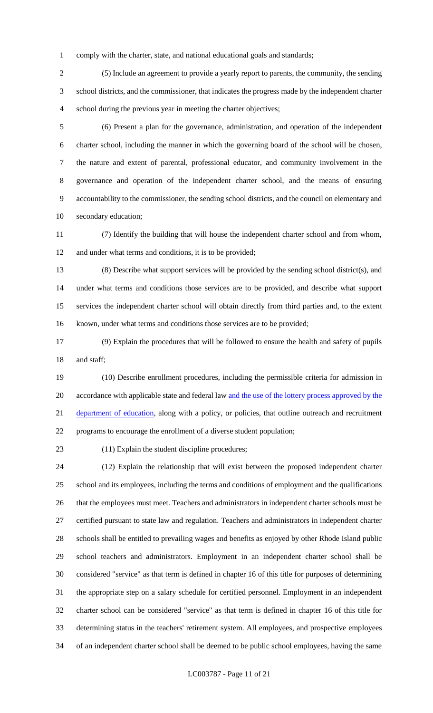comply with the charter, state, and national educational goals and standards;

 (5) Include an agreement to provide a yearly report to parents, the community, the sending school districts, and the commissioner, that indicates the progress made by the independent charter school during the previous year in meeting the charter objectives;

 (6) Present a plan for the governance, administration, and operation of the independent charter school, including the manner in which the governing board of the school will be chosen, the nature and extent of parental, professional educator, and community involvement in the governance and operation of the independent charter school, and the means of ensuring accountability to the commissioner, the sending school districts, and the council on elementary and secondary education;

 (7) Identify the building that will house the independent charter school and from whom, 12 and under what terms and conditions, it is to be provided;

 (8) Describe what support services will be provided by the sending school district(s), and under what terms and conditions those services are to be provided, and describe what support services the independent charter school will obtain directly from third parties and, to the extent known, under what terms and conditions those services are to be provided;

 (9) Explain the procedures that will be followed to ensure the health and safety of pupils 18 and staff;

 (10) Describe enrollment procedures, including the permissible criteria for admission in 20 accordance with applicable state and federal law and the use of the lottery process approved by the 21 department of education, along with a policy, or policies, that outline outreach and recruitment programs to encourage the enrollment of a diverse student population;

(11) Explain the student discipline procedures;

 (12) Explain the relationship that will exist between the proposed independent charter school and its employees, including the terms and conditions of employment and the qualifications that the employees must meet. Teachers and administrators in independent charter schools must be certified pursuant to state law and regulation. Teachers and administrators in independent charter schools shall be entitled to prevailing wages and benefits as enjoyed by other Rhode Island public school teachers and administrators. Employment in an independent charter school shall be considered "service" as that term is defined in chapter 16 of this title for purposes of determining the appropriate step on a salary schedule for certified personnel. Employment in an independent charter school can be considered "service" as that term is defined in chapter 16 of this title for determining status in the teachers' retirement system. All employees, and prospective employees of an independent charter school shall be deemed to be public school employees, having the same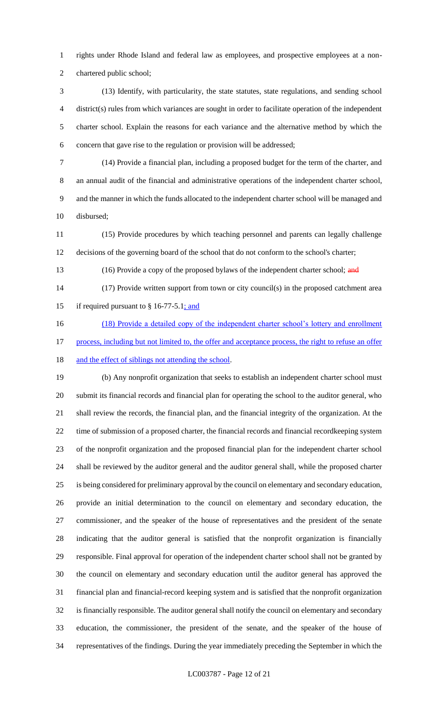rights under Rhode Island and federal law as employees, and prospective employees at a non-chartered public school;

 (13) Identify, with particularity, the state statutes, state regulations, and sending school district(s) rules from which variances are sought in order to facilitate operation of the independent charter school. Explain the reasons for each variance and the alternative method by which the concern that gave rise to the regulation or provision will be addressed;

 (14) Provide a financial plan, including a proposed budget for the term of the charter, and an annual audit of the financial and administrative operations of the independent charter school, and the manner in which the funds allocated to the independent charter school will be managed and disbursed;

 (15) Provide procedures by which teaching personnel and parents can legally challenge decisions of the governing board of the school that do not conform to the school's charter;

13 (16) Provide a copy of the proposed bylaws of the independent charter school; and

 (17) Provide written support from town or city council(s) in the proposed catchment area 15 if required pursuant to  $§$  16-77-5.1; and

 (18) Provide a detailed copy of the independent charter school's lottery and enrollment 17 process, including but not limited to, the offer and acceptance process, the right to refuse an offer 18 and the effect of siblings not attending the school.

 (b) Any nonprofit organization that seeks to establish an independent charter school must submit its financial records and financial plan for operating the school to the auditor general, who shall review the records, the financial plan, and the financial integrity of the organization. At the time of submission of a proposed charter, the financial records and financial recordkeeping system of the nonprofit organization and the proposed financial plan for the independent charter school shall be reviewed by the auditor general and the auditor general shall, while the proposed charter is being considered for preliminary approval by the council on elementary and secondary education, provide an initial determination to the council on elementary and secondary education, the commissioner, and the speaker of the house of representatives and the president of the senate indicating that the auditor general is satisfied that the nonprofit organization is financially responsible. Final approval for operation of the independent charter school shall not be granted by the council on elementary and secondary education until the auditor general has approved the financial plan and financial-record keeping system and is satisfied that the nonprofit organization is financially responsible. The auditor general shall notify the council on elementary and secondary education, the commissioner, the president of the senate, and the speaker of the house of representatives of the findings. During the year immediately preceding the September in which the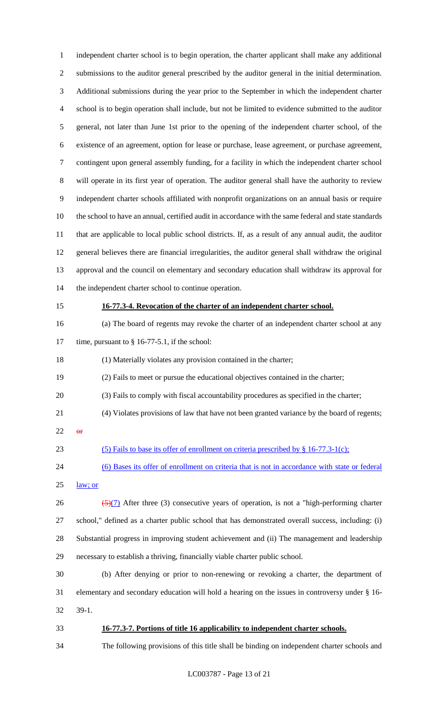independent charter school is to begin operation, the charter applicant shall make any additional submissions to the auditor general prescribed by the auditor general in the initial determination. Additional submissions during the year prior to the September in which the independent charter school is to begin operation shall include, but not be limited to evidence submitted to the auditor general, not later than June 1st prior to the opening of the independent charter school, of the existence of an agreement, option for lease or purchase, lease agreement, or purchase agreement, contingent upon general assembly funding, for a facility in which the independent charter school will operate in its first year of operation. The auditor general shall have the authority to review independent charter schools affiliated with nonprofit organizations on an annual basis or require the school to have an annual, certified audit in accordance with the same federal and state standards that are applicable to local public school districts. If, as a result of any annual audit, the auditor general believes there are financial irregularities, the auditor general shall withdraw the original approval and the council on elementary and secondary education shall withdraw its approval for the independent charter school to continue operation. **16-77.3-4. Revocation of the charter of an independent charter school.** (a) The board of regents may revoke the charter of an independent charter school at any 17 time, pursuant to § 16-77-5.1, if the school: (1) Materially violates any provision contained in the charter; (2) Fails to meet or pursue the educational objectives contained in the charter; (3) Fails to comply with fiscal accountability procedures as specified in the charter; (4) Violates provisions of law that have not been granted variance by the board of regents; or 23 (5) Fails to base its offer of enrollment on criteria prescribed by § 16-77.3-1(c); (6) Bases its offer of enrollment on criteria that is not in accordance with state or federal law; or  $\frac{5(7)}{2}$  After three (3) consecutive years of operation, is not a "high-performing charter school," defined as a charter public school that has demonstrated overall success, including: (i) Substantial progress in improving student achievement and (ii) The management and leadership necessary to establish a thriving, financially viable charter public school. (b) After denying or prior to non-renewing or revoking a charter, the department of elementary and secondary education will hold a hearing on the issues in controversy under § 16- 39-1. **16-77.3-7. Portions of title 16 applicability to independent charter schools.** The following provisions of this title shall be binding on independent charter schools and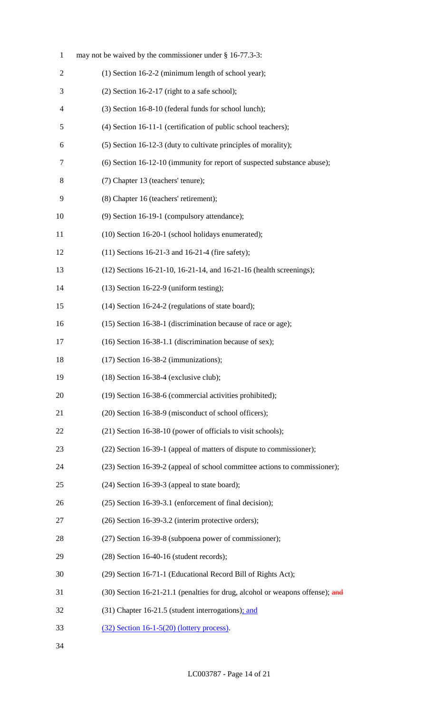| $\mathbf{1}$             | may not be waived by the commissioner under § 16-77.3-3:                      |
|--------------------------|-------------------------------------------------------------------------------|
| 2                        | (1) Section 16-2-2 (minimum length of school year);                           |
| 3                        | $(2)$ Section 16-2-17 (right to a safe school);                               |
| $\overline{\mathcal{A}}$ | (3) Section 16-8-10 (federal funds for school lunch);                         |
| 5                        | (4) Section 16-11-1 (certification of public school teachers);                |
| 6                        | (5) Section 16-12-3 (duty to cultivate principles of morality);               |
| 7                        | (6) Section 16-12-10 (immunity for report of suspected substance abuse);      |
| 8                        | (7) Chapter 13 (teachers' tenure);                                            |
| 9                        | (8) Chapter 16 (teachers' retirement);                                        |
| 10                       | (9) Section 16-19-1 (compulsory attendance);                                  |
| 11                       | (10) Section 16-20-1 (school holidays enumerated);                            |
| 12                       | $(11)$ Sections 16-21-3 and 16-21-4 (fire safety);                            |
| 13                       | (12) Sections 16-21-10, 16-21-14, and 16-21-16 (health screenings);           |
| 14                       | $(13)$ Section 16-22-9 (uniform testing);                                     |
| 15                       | (14) Section 16-24-2 (regulations of state board);                            |
| 16                       | (15) Section 16-38-1 (discrimination because of race or age);                 |
| 17                       | (16) Section 16-38-1.1 (discrimination because of sex);                       |
| 18                       | $(17)$ Section 16-38-2 (immunizations);                                       |
| 19                       | $(18)$ Section 16-38-4 (exclusive club);                                      |
| 20                       | (19) Section 16-38-6 (commercial activities prohibited);                      |
| 21                       | (20) Section 16-38-9 (misconduct of school officers);                         |
| 22                       | (21) Section 16-38-10 (power of officials to visit schools);                  |
| 23                       | (22) Section 16-39-1 (appeal of matters of dispute to commissioner);          |
| 24                       | (23) Section 16-39-2 (appeal of school committee actions to commissioner);    |
| 25                       | $(24)$ Section 16-39-3 (appeal to state board);                               |
| 26                       | (25) Section 16-39-3.1 (enforcement of final decision);                       |
| 27                       | (26) Section 16-39-3.2 (interim protective orders);                           |
| 28                       | (27) Section 16-39-8 (subpoena power of commissioner);                        |
| 29                       | $(28)$ Section 16-40-16 (student records);                                    |
| 30                       | (29) Section 16-71-1 (Educational Record Bill of Rights Act);                 |
| 31                       | (30) Section 16-21-21.1 (penalties for drug, alcohol or weapons offense); and |
| 32                       | (31) Chapter 16-21.5 (student interrogations); and                            |
| 33                       | $(32)$ Section 16-1-5(20) (lottery process).                                  |
| 34                       |                                                                               |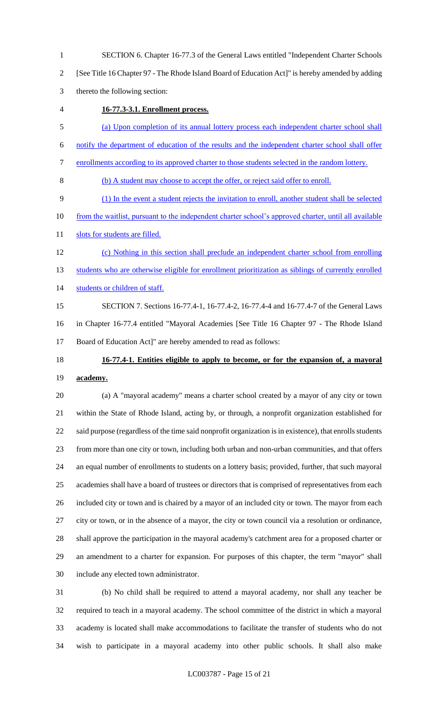SECTION 6. Chapter 16-77.3 of the General Laws entitled "Independent Charter Schools

[See Title 16 Chapter 97 - The Rhode Island Board of Education Act]" is hereby amended by adding

thereto the following section:

**16-77.3-3.1. Enrollment process.** 

(a) Upon completion of its annual lottery process each independent charter school shall

notify the department of education of the results and the independent charter school shall offer

- enrollments according to its approved charter to those students selected in the random lottery.
- (b) A student may choose to accept the offer, or reject said offer to enroll.

(1) In the event a student rejects the invitation to enroll, another student shall be selected

- 10 from the waitlist, pursuant to the independent charter school's approved charter, until all available
- 11 slots for students are filled.
- (c) Nothing in this section shall preclude an independent charter school from enrolling 13 students who are otherwise eligible for enrollment prioritization as siblings of currently enrolled students or children of staff.
- SECTION 7. Sections 16-77.4-1, 16-77.4-2, 16-77.4-4 and 16-77.4-7 of the General Laws in Chapter 16-77.4 entitled "Mayoral Academies [See Title 16 Chapter 97 - The Rhode Island Board of Education Act]" are hereby amended to read as follows:
- 

# **16-77.4-1. Entities eligible to apply to become, or for the expansion of, a mayoral academy.**

 (a) A "mayoral academy" means a charter school created by a mayor of any city or town within the State of Rhode Island, acting by, or through, a nonprofit organization established for said purpose (regardless of the time said nonprofit organization is in existence), that enrolls students from more than one city or town, including both urban and non-urban communities, and that offers an equal number of enrollments to students on a lottery basis; provided, further, that such mayoral academies shall have a board of trustees or directors that is comprised of representatives from each included city or town and is chaired by a mayor of an included city or town. The mayor from each city or town, or in the absence of a mayor, the city or town council via a resolution or ordinance, shall approve the participation in the mayoral academy's catchment area for a proposed charter or an amendment to a charter for expansion. For purposes of this chapter, the term "mayor" shall include any elected town administrator.

 (b) No child shall be required to attend a mayoral academy, nor shall any teacher be required to teach in a mayoral academy. The school committee of the district in which a mayoral academy is located shall make accommodations to facilitate the transfer of students who do not wish to participate in a mayoral academy into other public schools. It shall also make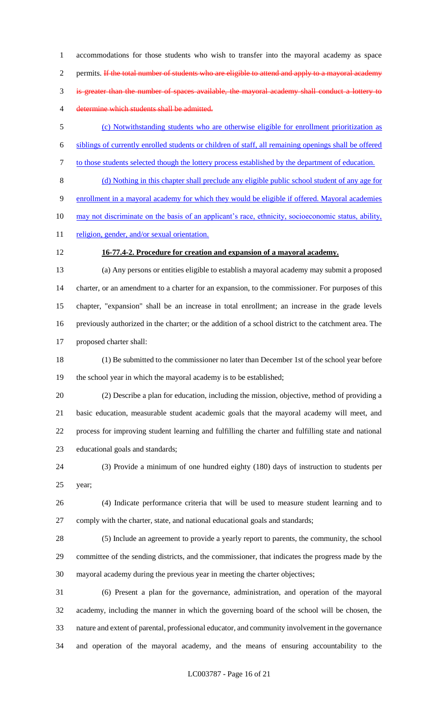accommodations for those students who wish to transfer into the mayoral academy as space 2 permits. If the total number of students who are eligible to attend and apply to a mayoral academy is greater than the number of spaces available, the mayoral academy shall conduct a lottery to determine which students shall be admitted.

 (c) Notwithstanding students who are otherwise eligible for enrollment prioritization as siblings of currently enrolled students or children of staff, all remaining openings shall be offered to those students selected though the lottery process established by the department of education.

 (d) Nothing in this chapter shall preclude any eligible public school student of any age for enrollment in a mayoral academy for which they would be eligible if offered. Mayoral academies 10 may not discriminate on the basis of an applicant's race, ethnicity, socioeconomic status, ability, 11 religion, gender, and/or sexual orientation.

## **16-77.4-2. Procedure for creation and expansion of a mayoral academy.**

 (a) Any persons or entities eligible to establish a mayoral academy may submit a proposed charter, or an amendment to a charter for an expansion, to the commissioner. For purposes of this chapter, "expansion" shall be an increase in total enrollment; an increase in the grade levels previously authorized in the charter; or the addition of a school district to the catchment area. The proposed charter shall:

 (1) Be submitted to the commissioner no later than December 1st of the school year before the school year in which the mayoral academy is to be established;

 (2) Describe a plan for education, including the mission, objective, method of providing a basic education, measurable student academic goals that the mayoral academy will meet, and process for improving student learning and fulfilling the charter and fulfilling state and national educational goals and standards;

 (3) Provide a minimum of one hundred eighty (180) days of instruction to students per year;

 (4) Indicate performance criteria that will be used to measure student learning and to comply with the charter, state, and national educational goals and standards;

 (5) Include an agreement to provide a yearly report to parents, the community, the school committee of the sending districts, and the commissioner, that indicates the progress made by the mayoral academy during the previous year in meeting the charter objectives;

 (6) Present a plan for the governance, administration, and operation of the mayoral academy, including the manner in which the governing board of the school will be chosen, the nature and extent of parental, professional educator, and community involvement in the governance and operation of the mayoral academy, and the means of ensuring accountability to the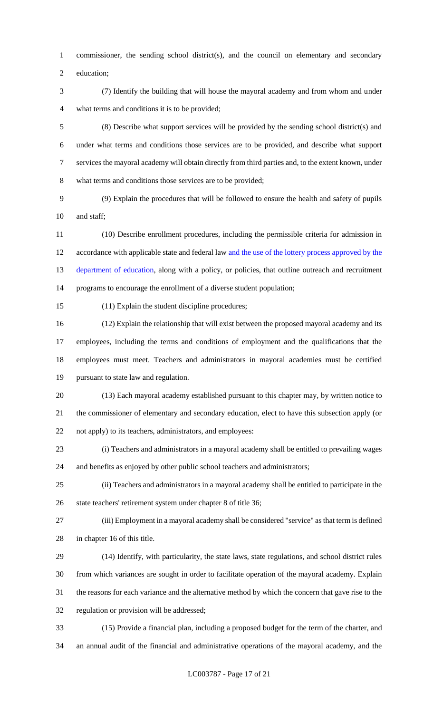commissioner, the sending school district(s), and the council on elementary and secondary

education;

 (7) Identify the building that will house the mayoral academy and from whom and under what terms and conditions it is to be provided;

 (8) Describe what support services will be provided by the sending school district(s) and under what terms and conditions those services are to be provided, and describe what support services the mayoral academy will obtain directly from third parties and, to the extent known, under what terms and conditions those services are to be provided;

 (9) Explain the procedures that will be followed to ensure the health and safety of pupils 10 and staff;

 (10) Describe enrollment procedures, including the permissible criteria for admission in accordance with applicable state and federal law and the use of the lottery process approved by the 13 department of education, along with a policy, or policies, that outline outreach and recruitment programs to encourage the enrollment of a diverse student population;

(11) Explain the student discipline procedures;

 (12) Explain the relationship that will exist between the proposed mayoral academy and its employees, including the terms and conditions of employment and the qualifications that the employees must meet. Teachers and administrators in mayoral academies must be certified pursuant to state law and regulation.

 (13) Each mayoral academy established pursuant to this chapter may, by written notice to the commissioner of elementary and secondary education, elect to have this subsection apply (or not apply) to its teachers, administrators, and employees:

 (i) Teachers and administrators in a mayoral academy shall be entitled to prevailing wages and benefits as enjoyed by other public school teachers and administrators;

 (ii) Teachers and administrators in a mayoral academy shall be entitled to participate in the state teachers' retirement system under chapter 8 of title 36;

 (iii) Employment in a mayoral academy shall be considered "service" as that term is defined in chapter 16 of this title.

 (14) Identify, with particularity, the state laws, state regulations, and school district rules from which variances are sought in order to facilitate operation of the mayoral academy. Explain the reasons for each variance and the alternative method by which the concern that gave rise to the regulation or provision will be addressed;

 (15) Provide a financial plan, including a proposed budget for the term of the charter, and an annual audit of the financial and administrative operations of the mayoral academy, and the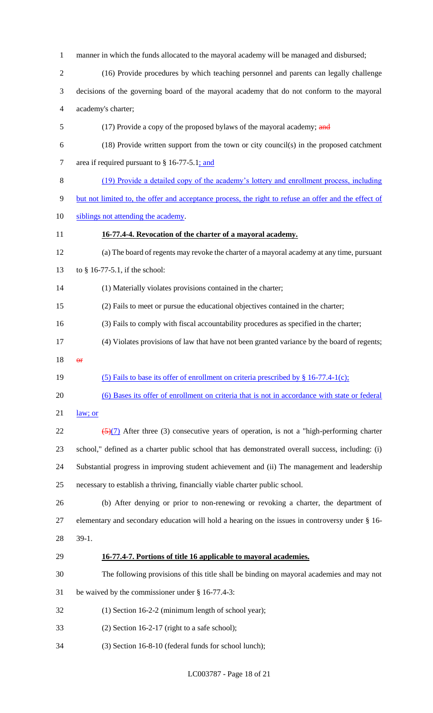manner in which the funds allocated to the mayoral academy will be managed and disbursed;

- (16) Provide procedures by which teaching personnel and parents can legally challenge
- decisions of the governing board of the mayoral academy that do not conform to the mayoral academy's charter;
- 5 (17) Provide a copy of the proposed bylaws of the mayoral academy; and
- (18) Provide written support from the town or city council(s) in the proposed catchment 7 area if required pursuant to § 16-77-5.1; and
- (19) Provide a detailed copy of the academy's lottery and enrollment process, including
- but not limited to, the offer and acceptance process, the right to refuse an offer and the effect of
- 10 siblings not attending the academy.
- **16-77.4-4. Revocation of the charter of a mayoral academy.**
- (a) The board of regents may revoke the charter of a mayoral academy at any time, pursuant
- to § 16-77-5.1, if the school:
- (1) Materially violates provisions contained in the charter;
- (2) Fails to meet or pursue the educational objectives contained in the charter;
- (3) Fails to comply with fiscal accountability procedures as specified in the charter;
- (4) Violates provisions of law that have not been granted variance by the board of regents;
- or
- (5) Fails to base its offer of enrollment on criteria prescribed by § 16-77.4-1(c);
- (6) Bases its offer of enrollment on criteria that is not in accordance with state or federal
- law; or
- $\frac{(5)(7)}{2}$  After three (3) consecutive years of operation, is not a "high-performing charter school," defined as a charter public school that has demonstrated overall success, including: (i) Substantial progress in improving student achievement and (ii) The management and leadership necessary to establish a thriving, financially viable charter public school.
- (b) After denying or prior to non-renewing or revoking a charter, the department of elementary and secondary education will hold a hearing on the issues in controversy under § 16- 39-1.

## **16-77.4-7. Portions of title 16 applicable to mayoral academies.**

- The following provisions of this title shall be binding on mayoral academies and may not
- be waived by the commissioner under § 16-77.4-3:
- (1) Section 16-2-2 (minimum length of school year);
- (2) Section 16-2-17 (right to a safe school);
- (3) Section 16-8-10 (federal funds for school lunch);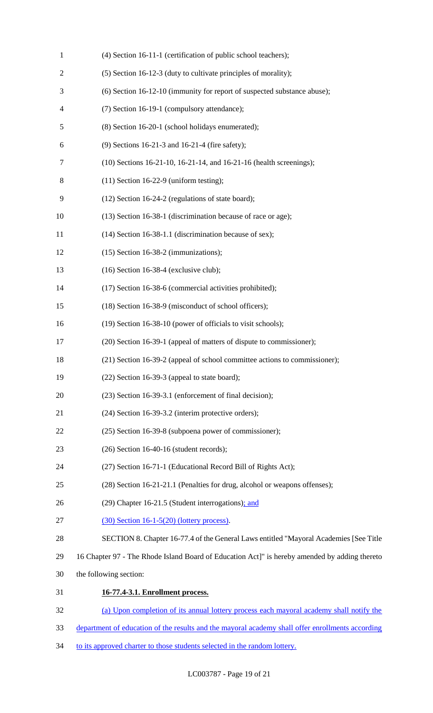| $\mathbf{1}$   | (4) Section 16-11-1 (certification of public school teachers);                                   |
|----------------|--------------------------------------------------------------------------------------------------|
| $\overline{c}$ | (5) Section 16-12-3 (duty to cultivate principles of morality);                                  |
| 3              | (6) Section 16-12-10 (immunity for report of suspected substance abuse);                         |
| 4              | (7) Section 16-19-1 (compulsory attendance);                                                     |
| 5              | (8) Section 16-20-1 (school holidays enumerated);                                                |
| 6              | (9) Sections 16-21-3 and 16-21-4 (fire safety);                                                  |
| $\tau$         | (10) Sections 16-21-10, 16-21-14, and 16-21-16 (health screenings);                              |
| 8              | $(11)$ Section 16-22-9 (uniform testing);                                                        |
| 9              | (12) Section 16-24-2 (regulations of state board);                                               |
| 10             | (13) Section 16-38-1 (discrimination because of race or age);                                    |
| 11             | (14) Section 16-38-1.1 (discrimination because of sex);                                          |
| 12             | $(15)$ Section 16-38-2 (immunizations);                                                          |
| 13             | $(16)$ Section 16-38-4 (exclusive club);                                                         |
| 14             | (17) Section 16-38-6 (commercial activities prohibited);                                         |
| 15             | (18) Section 16-38-9 (misconduct of school officers);                                            |
| 16             | (19) Section 16-38-10 (power of officials to visit schools);                                     |
| 17             | (20) Section 16-39-1 (appeal of matters of dispute to commissioner);                             |
| 18             | (21) Section 16-39-2 (appeal of school committee actions to commissioner);                       |
| 19             | $(22)$ Section 16-39-3 (appeal to state board);                                                  |
| 20             | (23) Section 16-39-3.1 (enforcement of final decision);                                          |
| 21             | (24) Section 16-39-3.2 (interim protective orders);                                              |
| 22             | (25) Section 16-39-8 (subpoena power of commissioner);                                           |
| 23             | $(26)$ Section 16-40-16 (student records);                                                       |
| 24             | (27) Section 16-71-1 (Educational Record Bill of Rights Act);                                    |
| 25             | (28) Section 16-21-21.1 (Penalties for drug, alcohol or weapons offenses);                       |
| 26             | (29) Chapter 16-21.5 (Student interrogations); and                                               |
| 27             | $(30)$ Section 16-1-5(20) (lottery process).                                                     |
| 28             | SECTION 8. Chapter 16-77.4 of the General Laws entitled "Mayoral Academies [See Title            |
| 29             | 16 Chapter 97 - The Rhode Island Board of Education Act]" is hereby amended by adding thereto    |
| 30             | the following section:                                                                           |
| 31             | 16-77.4-3.1. Enrollment process.                                                                 |
| 32             | (a) Upon completion of its annual lottery process each mayoral academy shall notify the          |
| 33             | department of education of the results and the mayoral academy shall offer enrollments according |

34 to its approved charter to those students selected in the random lottery.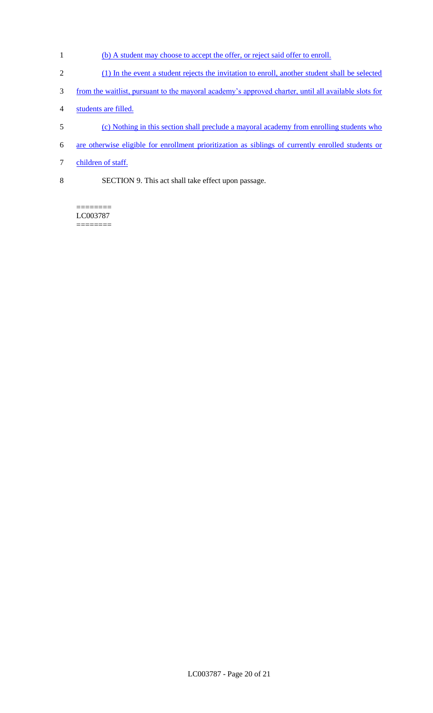- 1 (b) A student may choose to accept the offer, or reject said offer to enroll.
- 2 (1) In the event a student rejects the invitation to enroll, another student shall be selected
- 3 from the waitlist, pursuant to the mayoral academy's approved charter, until all available slots for
- 4 students are filled.
- 5 (c) Nothing in this section shall preclude a mayoral academy from enrolling students who
- 6 are otherwise eligible for enrollment prioritization as siblings of currently enrolled students or
- 7 children of staff.
- 8 SECTION 9. This act shall take effect upon passage.

======== LC003787  $=$